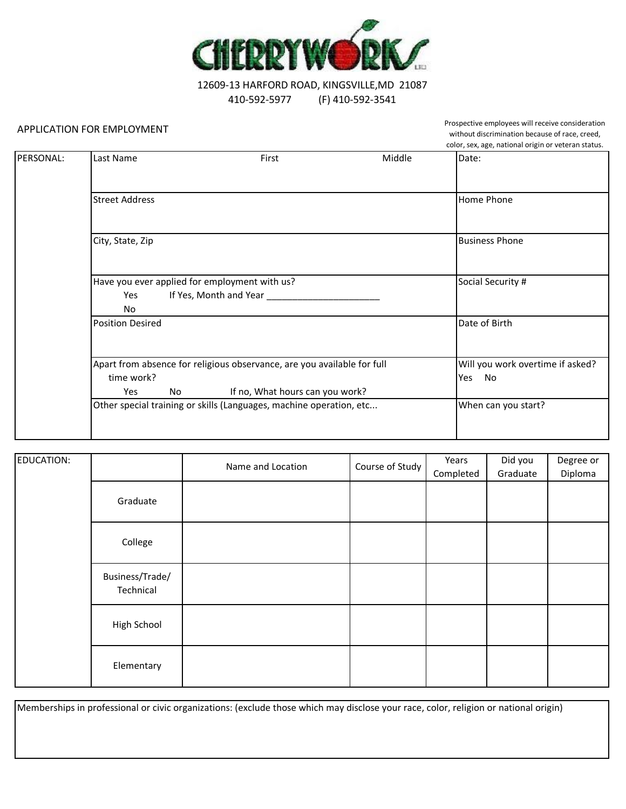

12609-13 HARFORD ROAD, KINGSVILLE,MD 21087 410-592-5977 (F) 410-592-3541

## APPLICATION FOR EMPLOYMENT

Prospective employees will receive consideration without discrimination because of race, creed, color, sex, age, national origin or veteran status.

|           |                                                                         |                                  |        | $\frac{1}{2}$         |
|-----------|-------------------------------------------------------------------------|----------------------------------|--------|-----------------------|
| PERSONAL: | Last Name                                                               | First                            | Middle | Date:                 |
|           |                                                                         |                                  |        |                       |
|           |                                                                         |                                  |        |                       |
|           | <b>Street Address</b>                                                   |                                  |        | Home Phone            |
|           |                                                                         |                                  |        |                       |
|           | City, State, Zip                                                        |                                  |        | <b>Business Phone</b> |
|           |                                                                         |                                  |        |                       |
|           | Have you ever applied for employment with us?                           | Social Security #                |        |                       |
|           | Yes                                                                     | If Yes, Month and Year _____     |        |                       |
|           | No                                                                      |                                  |        |                       |
|           | <b>Position Desired</b>                                                 |                                  |        | Date of Birth         |
|           |                                                                         |                                  |        |                       |
|           | Apart from absence for religious observance, are you available for full | Will you work overtime if asked? |        |                       |
|           | time work?                                                              |                                  |        | Yes<br>No             |
|           | Yes<br>No                                                               | If no, What hours can you work?  |        |                       |
|           | Other special training or skills (Languages, machine operation, etc     | When can you start?              |        |                       |
|           |                                                                         |                                  |        |                       |
|           |                                                                         |                                  |        |                       |

| EDUCATION: |                              | Name and Location | Course of Study | Years<br>Completed | Did you<br>Graduate | Degree or<br>Diploma |
|------------|------------------------------|-------------------|-----------------|--------------------|---------------------|----------------------|
|            | Graduate                     |                   |                 |                    |                     |                      |
|            | College                      |                   |                 |                    |                     |                      |
|            | Business/Trade/<br>Technical |                   |                 |                    |                     |                      |
|            | High School                  |                   |                 |                    |                     |                      |
|            | Elementary                   |                   |                 |                    |                     |                      |

Memberships in professional or civic organizations: (exclude those which may disclose your race, color, religion or national origin)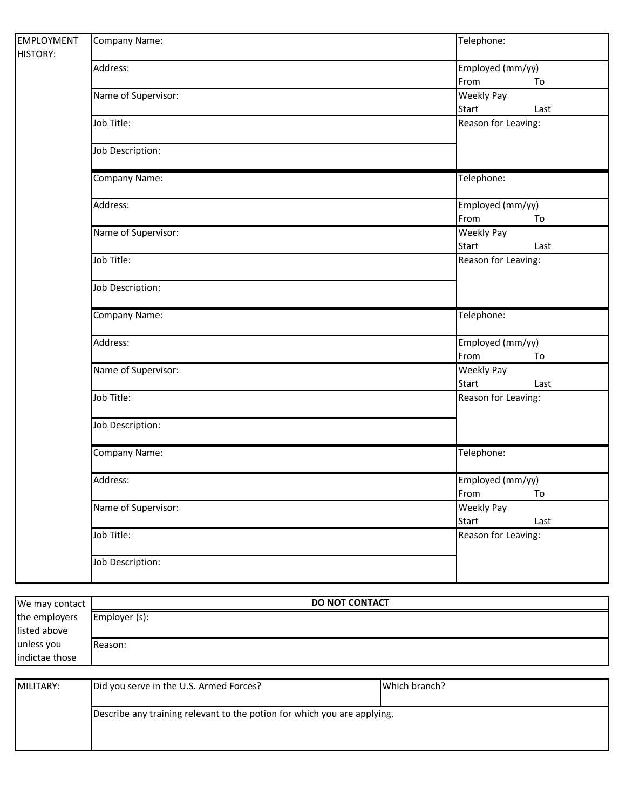| <b>EMPLOYMENT</b><br><b>HISTORY:</b> | Company Name:       | Telephone:                                |  |
|--------------------------------------|---------------------|-------------------------------------------|--|
|                                      | Address:            | Employed (mm/yy)<br>From<br>To            |  |
|                                      | Name of Supervisor: | <b>Weekly Pay</b><br><b>Start</b><br>Last |  |
|                                      | Job Title:          | Reason for Leaving:                       |  |
|                                      | Job Description:    |                                           |  |
|                                      | Company Name:       | Telephone:                                |  |
|                                      | Address:            | Employed (mm/yy)<br>From<br>To            |  |
|                                      | Name of Supervisor: | <b>Weekly Pay</b><br><b>Start</b><br>Last |  |
|                                      | Job Title:          | Reason for Leaving:                       |  |
|                                      | Job Description:    |                                           |  |
|                                      | Company Name:       | Telephone:                                |  |
|                                      | Address:            | Employed (mm/yy)<br>From<br>To            |  |
|                                      | Name of Supervisor: | <b>Weekly Pay</b><br><b>Start</b><br>Last |  |
|                                      | Job Title:          | Reason for Leaving:                       |  |
|                                      | Job Description:    |                                           |  |
|                                      | Company Name:       | Telephone:                                |  |
|                                      | Address:            | Employed (mm/yy)<br>From<br>To            |  |
|                                      | Name of Supervisor: | <b>Weekly Pay</b><br><b>Start</b><br>Last |  |
|                                      | Job Title:          | Reason for Leaving:                       |  |
|                                      | Job Description:    |                                           |  |

| We may contact | <b>DO NOT CONTACT</b> |
|----------------|-----------------------|
| the employers  | Employer (s):         |
| listed above   |                       |
| unless you     | <b>IReason:</b>       |
| indictae those |                       |

| MILITARY: | Did you serve in the U.S. Armed Forces?                                  | Which branch? |
|-----------|--------------------------------------------------------------------------|---------------|
|           | Describe any training relevant to the potion for which you are applying. |               |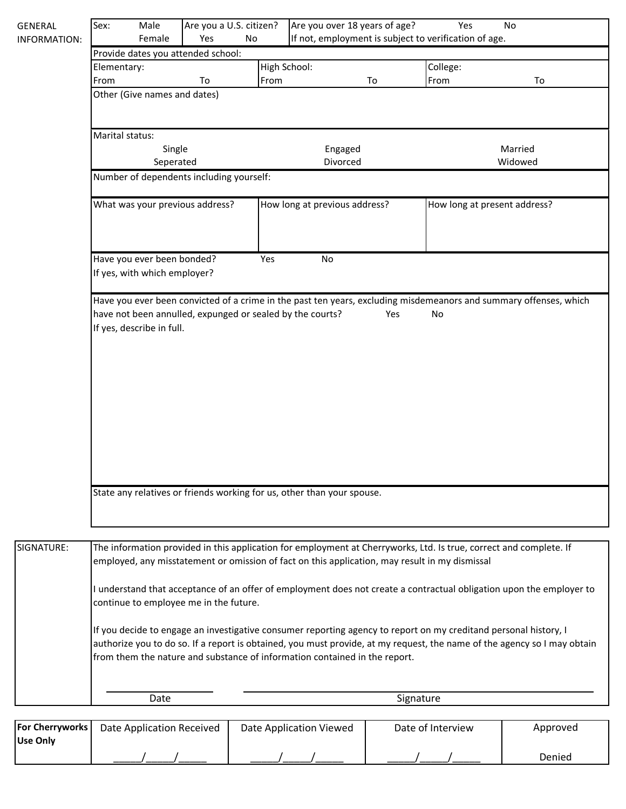| <b>GENERAL</b> | Sex:                                                                                                                                                                                                                                                                                                                       | Male                                                       | Are you a U.S. citizen?                                                |                               |                     | Are you over 18 years of age? |                              | Yes<br><b>No</b>   |                                                                                                                   |
|----------------|----------------------------------------------------------------------------------------------------------------------------------------------------------------------------------------------------------------------------------------------------------------------------------------------------------------------------|------------------------------------------------------------|------------------------------------------------------------------------|-------------------------------|---------------------|-------------------------------|------------------------------|--------------------|-------------------------------------------------------------------------------------------------------------------|
| INFORMATION:   | If not, employment is subject to verification of age.<br>Female<br>Yes<br><b>No</b>                                                                                                                                                                                                                                        |                                                            |                                                                        |                               |                     |                               |                              |                    |                                                                                                                   |
|                | Provide dates you attended school:                                                                                                                                                                                                                                                                                         |                                                            |                                                                        |                               | High School:        |                               |                              |                    |                                                                                                                   |
|                | Elementary:<br>From                                                                                                                                                                                                                                                                                                        |                                                            | To                                                                     | From                          |                     | To                            | College:<br>From             |                    | To                                                                                                                |
|                | Other (Give names and dates)                                                                                                                                                                                                                                                                                               |                                                            |                                                                        |                               |                     |                               |                              |                    |                                                                                                                   |
|                | Marital status:                                                                                                                                                                                                                                                                                                            |                                                            |                                                                        |                               |                     |                               |                              |                    |                                                                                                                   |
|                |                                                                                                                                                                                                                                                                                                                            | Single<br>Seperated                                        |                                                                        |                               | Engaged<br>Divorced |                               |                              | Married<br>Widowed |                                                                                                                   |
|                |                                                                                                                                                                                                                                                                                                                            |                                                            | Number of dependents including yourself:                               |                               |                     |                               |                              |                    |                                                                                                                   |
|                | What was your previous address?                                                                                                                                                                                                                                                                                            |                                                            |                                                                        | How long at previous address? |                     |                               | How long at present address? |                    |                                                                                                                   |
|                |                                                                                                                                                                                                                                                                                                                            | Have you ever been bonded?<br>If yes, with which employer? |                                                                        | Yes                           | No                  |                               |                              |                    |                                                                                                                   |
|                |                                                                                                                                                                                                                                                                                                                            | If yes, describe in full.                                  | have not been annulled, expunged or sealed by the courts?              |                               |                     | Yes                           | No                           |                    | Have you ever been convicted of a crime in the past ten years, excluding misdemeanors and summary offenses, which |
|                |                                                                                                                                                                                                                                                                                                                            |                                                            | State any relatives or friends working for us, other than your spouse. |                               |                     |                               |                              |                    |                                                                                                                   |
| SIGNATURE:     | The information provided in this application for employment at Cherryworks, Ltd. Is true, correct and complete. If<br>employed, any misstatement or omission of fact on this application, may result in my dismissal                                                                                                       |                                                            |                                                                        |                               |                     |                               |                              |                    |                                                                                                                   |
|                | I understand that acceptance of an offer of employment does not create a contractual obligation upon the employer to<br>continue to employee me in the future.                                                                                                                                                             |                                                            |                                                                        |                               |                     |                               |                              |                    |                                                                                                                   |
|                | If you decide to engage an investigative consumer reporting agency to report on my creditand personal history, I<br>authorize you to do so. If a report is obtained, you must provide, at my request, the name of the agency so I may obtain<br>from them the nature and substance of information contained in the report. |                                                            |                                                                        |                               |                     |                               |                              |                    |                                                                                                                   |
|                |                                                                                                                                                                                                                                                                                                                            | Date                                                       |                                                                        |                               |                     |                               | Signature                    |                    |                                                                                                                   |
|                |                                                                                                                                                                                                                                                                                                                            |                                                            |                                                                        |                               |                     |                               |                              |                    |                                                                                                                   |

| <b>For Cherryworks</b> | Date Application Received | Date Application Viewed | Date of Interview | Approved |
|------------------------|---------------------------|-------------------------|-------------------|----------|
| <b>IUse Only</b>       |                           |                         |                   |          |
|                        |                           |                         |                   | Denied   |